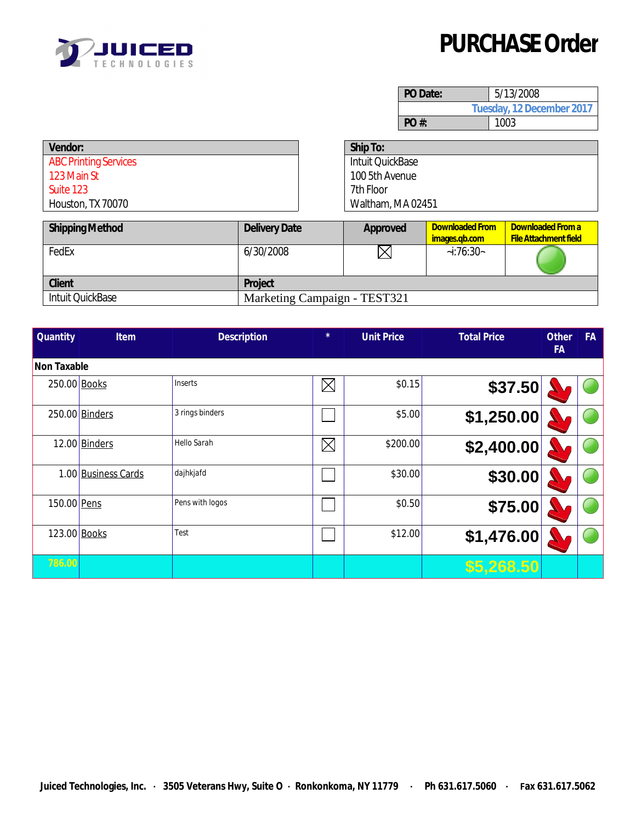

## **PURCHASE Order**

| PO Date:                  | 5/13/2008 |  |  |  |  |
|---------------------------|-----------|--|--|--|--|
| Tuesday, 12 December 2017 |           |  |  |  |  |
| PO#:                      | 1003      |  |  |  |  |

| Ship To:                |  |
|-------------------------|--|
| <b>Intuit QuickBase</b> |  |
| 100 5th Avenue          |  |
| 7th Floor               |  |
| Waltham, MA 02451       |  |
|                         |  |

| <b>Shipping Method</b>  | <b>Delivery Date</b>         | Approved | <b>Downloaded From</b><br>images.gb.com | Downloaded From a<br><b>File Attachment field</b> |
|-------------------------|------------------------------|----------|-----------------------------------------|---------------------------------------------------|
| FedEx                   | 6/30/2008                    |          | $-i:76:30-$                             |                                                   |
| <b>Client</b>           | Project                      |          |                                         |                                                   |
| <b>Intuit QuickBase</b> | Marketing Campaign - TEST321 |          |                                         |                                                   |

| <b>Quantity</b>    | <b>Item</b>         | <b>Description</b> | $\star$     | <b>Unit Price</b> | <b>Total Price</b> | <b>Other</b><br><b>FA</b> | <b>FA</b> |
|--------------------|---------------------|--------------------|-------------|-------------------|--------------------|---------------------------|-----------|
| <b>Non Taxable</b> |                     |                    |             |                   |                    |                           |           |
| 250.00 Books       |                     | Inserts            | $\boxtimes$ | \$0.15            | \$37.50            |                           |           |
|                    | 250.00 Binders      | 3 rings binders    |             | \$5.00            | \$1,250.00         |                           |           |
|                    | $12.00$ Binders     | Hello Sarah        | $\boxtimes$ | \$200.00          | \$2,400.00         |                           |           |
|                    | 1.00 Business Cards | dajhkjafd          |             | \$30.00           | \$30.00            |                           |           |
| 150.00 Pens        |                     | Pens with logos    |             | \$0.50            | \$75.00            |                           |           |
| 123.00 Books       |                     | Test               |             | \$12.00           | \$1,476.00         |                           |           |
| 786.00             |                     |                    |             |                   | \$5,268.50         |                           |           |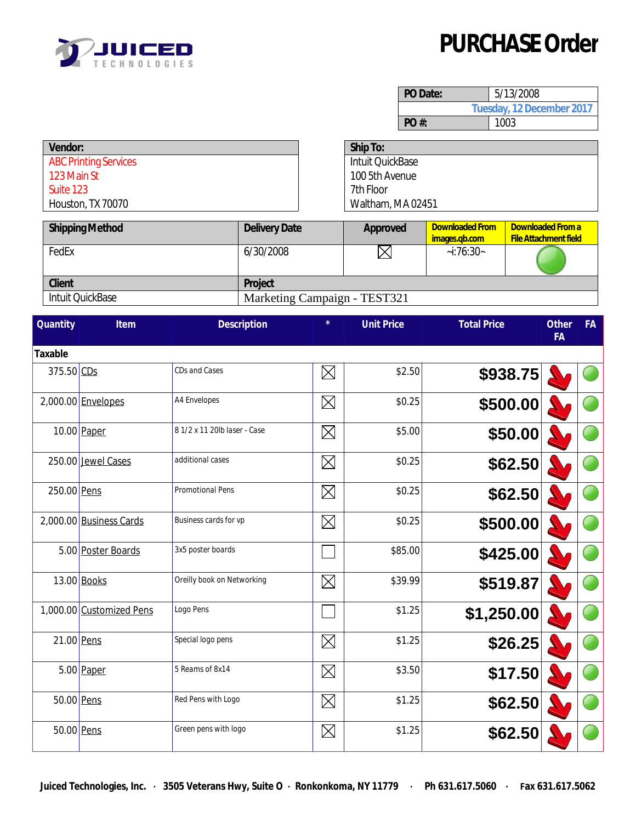

## **PURCHASE Order**

| PO Date:                  | 5/13/2008 |  |  |  |  |
|---------------------------|-----------|--|--|--|--|
| Tuesday, 12 December 2017 |           |  |  |  |  |
| PO#                       | 1003      |  |  |  |  |

| Vendor:                      | Ship To:          |
|------------------------------|-------------------|
| <b>ABC Printing Services</b> | Intuit QuickBase  |
| 123 Main St                  | 100 5th Avenue    |
| Suite 123                    | 7th Floor         |
| Houston, TX 70070            | Waltham, MA 02451 |
|                              |                   |

| <b>Shipping Method</b>  | <b>Delivery Date</b> | Approved                     | <b>Downloaded From</b><br>images.gb.com | Downloaded From a<br><b>File Attachment field</b> |  |  |  |
|-------------------------|----------------------|------------------------------|-----------------------------------------|---------------------------------------------------|--|--|--|
| FedEx                   | 6/30/2008            |                              | $-i:76:30-$                             |                                                   |  |  |  |
| <b>Client</b>           | Project              |                              |                                         |                                                   |  |  |  |
| <b>Intuit QuickBase</b> |                      | Marketing Campaign - TEST321 |                                         |                                                   |  |  |  |

| <b>Quantity</b> | Item                     | <b>Description</b>           | $\star$     | <b>Unit Price</b> | <b>Total Price</b> | <b>Other</b><br><b>FA</b> | <b>FA</b> |
|-----------------|--------------------------|------------------------------|-------------|-------------------|--------------------|---------------------------|-----------|
| <b>Taxable</b>  |                          |                              |             |                   |                    |                           |           |
| $375.50$ CDs    |                          | CDs and Cases                | $\boxtimes$ | \$2.50            | \$938.75           |                           |           |
|                 | 2,000.00 Envelopes       | <b>A4 Envelopes</b>          | $\boxtimes$ | \$0.25            | \$500.00           |                           |           |
|                 | 10.00 Paper              | 8 1/2 x 11 20lb laser - Case | $\boxtimes$ | \$5.00            | \$50.00            |                           |           |
|                 | 250.00 Jewel Cases       | additional cases             | $\boxtimes$ | \$0.25            | \$62.50            |                           |           |
| 250.00 Pens     |                          | <b>Promotional Pens</b>      | $\boxtimes$ | \$0.25            | \$62.50            |                           |           |
|                 | 2,000.00 Business Cards  | Business cards for vp        | $\boxtimes$ | \$0.25            | \$500.00           |                           |           |
|                 | 5.00 Poster Boards       | 3x5 poster boards            |             | \$85.00           | \$425.00           |                           |           |
|                 | 13.00 Books              | Oreilly book on Networking   | $\boxtimes$ | \$39.99           | \$519.87           |                           |           |
|                 | 1,000.00 Customized Pens | Logo Pens                    |             | \$1.25            | \$1,250.00         |                           |           |
|                 | 21.00 Pens               | Special logo pens            | $\boxtimes$ | \$1.25            | \$26.25            |                           |           |
|                 | $5.00$ Paper             | 5 Reams of 8x14              | $\boxtimes$ | \$3.50            | \$17.50            |                           |           |
|                 | 50.00 Pens               | Red Pens with Logo           | $\boxtimes$ | \$1.25            | \$62.50            |                           |           |
|                 | 50.00 Pens               | Green pens with logo         | $\boxtimes$ | \$1.25            | \$62.50            |                           |           |